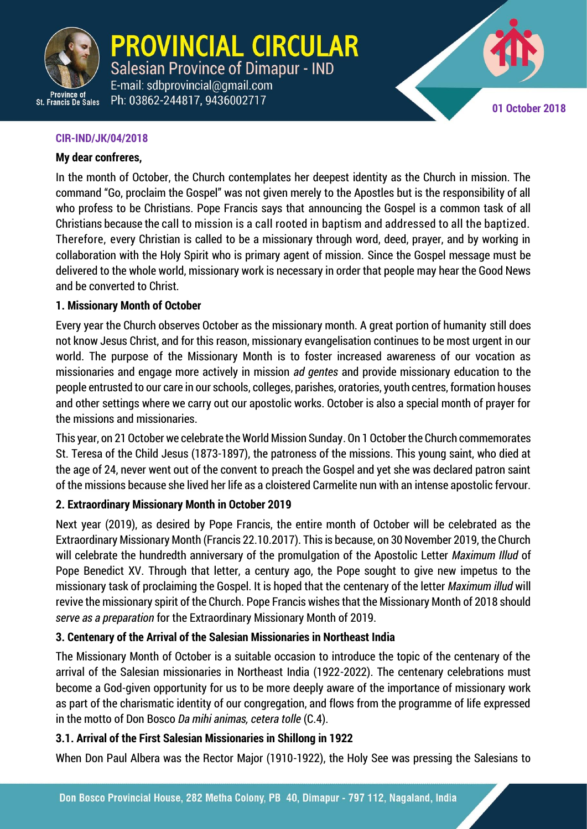

**PROVINCIAL CIRCULAR Salesian Province of Dimapur - IND** E-mail: sdbprovincial@gmail.com

Ph: 03862-244817, 9436002717



CIR-IND/JK/04/2018 **1**

## **CIR-IND/JK/04/2018**

## **My dear confreres,**

In the month of October, the Church contemplates her deepest identity as the Church in mission. The command "Go, proclaim the Gospel" was not given merely to the Apostles but is the responsibility of all who profess to be Christians. Pope Francis says that announcing the Gospel is a common task of all Christians because the call to mission is a call rooted in baptism and addressed to all the baptized. Therefore, every Christian is called to be a missionary through word, deed, prayer, and by working in collaboration with the Holy Spirit who is primary agent of mission. Since the Gospel message must be delivered to the whole world, missionary work is necessary in order that people may hear the Good News and be converted to Christ.

## **1. Missionary Month of October**

Every year the Church observes October as the missionary month. A great portion of humanity still does not know Jesus Christ, and for this reason, missionary evangelisation continues to be most urgent in our world. The purpose of the Missionary Month is to foster increased awareness of our vocation as missionaries and engage more actively in mission *ad gentes* and provide missionary education to the people entrusted to our care in our schools, colleges, parishes, oratories, youth centres, formation houses and other settings where we carry out our apostolic works. October is also a special month of prayer for the missions and missionaries.

This year, on 21 October we celebrate the World Mission Sunday. On 1 October the Church commemorates St. Teresa of the Child Jesus (1873-1897), the patroness of the missions. This young saint, who died at the age of 24, never went out of the convent to preach the Gospel and yet she was declared patron saint of the missions because she lived her life as a cloistered Carmelite nun with an intense apostolic fervour.

## **2. Extraordinary Missionary Month in October 2019**

Next year (2019), as desired by Pope Francis, the entire month of October will be celebrated as the Extraordinary Missionary Month (Francis 22.10.2017). This is because, on 30 November 2019, the Church will celebrate the hundredth anniversary of the promulgation of the Apostolic Letter *Maximum Illud* of Pope Benedict XV. Through that letter, a century ago, the Pope sought to give new impetus to the missionary task of proclaiming the Gospel. It is hoped that the centenary of the letter *Maximum illud* will revive the missionary spirit of the Church. Pope Francis wishes that the Missionary Month of 2018 should *serve as a preparation* for the Extraordinary Missionary Month of 2019.

## **3. Centenary of the Arrival of the Salesian Missionaries in Northeast India**

The Missionary Month of October is a suitable occasion to introduce the topic of the centenary of the arrival of the Salesian missionaries in Northeast India (1922-2022). The centenary celebrations must become a God-given opportunity for us to be more deeply aware of the importance of missionary work as part of the charismatic identity of our congregation, and flows from the programme of life expressed in the motto of Don Bosco *Da mihi animas, cetera tolle* (C.4).

## **3.1. Arrival of the First Salesian Missionaries in Shillong in 1922**

When Don Paul Albera was the Rector Major (1910-1922), the Holy See was pressing the Salesians to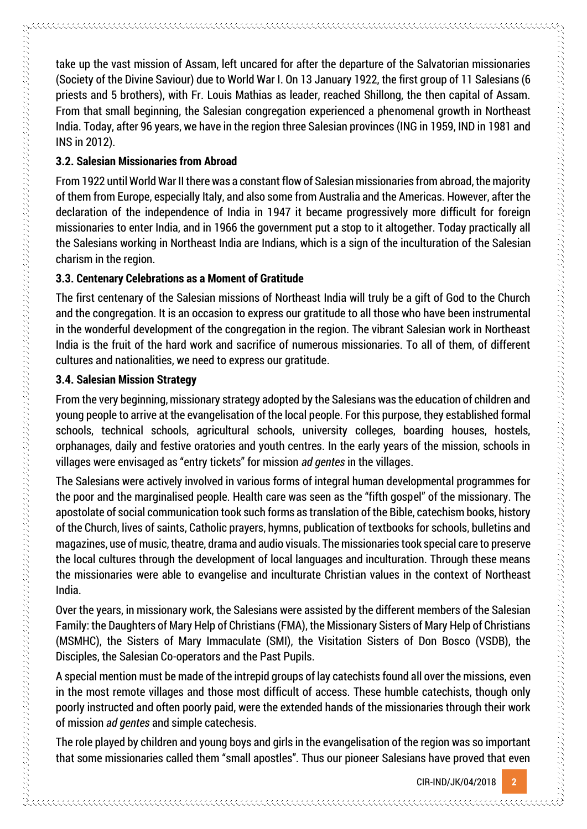take up the vast mission of Assam, left uncared for after the departure of the Salvatorian missionaries (Society of the Divine Saviour) due to World War I. On 13 January 1922, the first group of 11 Salesians (6 priests and 5 brothers), with Fr. Louis Mathias as leader, reached Shillong, the then capital of Assam. From that small beginning, the Salesian congregation experienced a phenomenal growth in Northeast India. Today, after 96 years, we have in the region three Salesian provinces (ING in 1959, IND in 1981 and INS in 2012).

#### **3.2. Salesian Missionaries from Abroad**

From 1922 until World War II there was a constant flow of Salesian missionaries from abroad, the majority of them from Europe, especially Italy, and also some from Australia and the Americas. However, after the declaration of the independence of India in 1947 it became progressively more difficult for foreign missionaries to enter India, and in 1966 the government put a stop to it altogether. Today practically all the Salesians working in Northeast India are Indians, which is a sign of the inculturation of the Salesian charism in the region.

#### **3.3. Centenary Celebrations as a Moment of Gratitude**

The first centenary of the Salesian missions of Northeast India will truly be a gift of God to the Church and the congregation. It is an occasion to express our gratitude to all those who have been instrumental in the wonderful development of the congregation in the region. The vibrant Salesian work in Northeast India is the fruit of the hard work and sacrifice of numerous missionaries. To all of them, of different cultures and nationalities, we need to express our gratitude.

### **3.4. Salesian Mission Strategy**

From the very beginning, missionary strategy adopted by the Salesians was the education of children and young people to arrive at the evangelisation of the local people. For this purpose, they established formal schools, technical schools, agricultural schools, university colleges, boarding houses, hostels, orphanages, daily and festive oratories and youth centres. In the early years of the mission, schools in villages were envisaged as "entry tickets" for mission *ad gentes* in the villages.

The Salesians were actively involved in various forms of integral human developmental programmes for the poor and the marginalised people. Health care was seen as the "fifth gospel" of the missionary. The apostolate of social communication took such forms as translation of the Bible, catechism books, history of the Church, lives of saints, Catholic prayers, hymns, publication of textbooks for schools, bulletins and magazines, use of music, theatre, drama and audio visuals. The missionaries took special care to preserve the local cultures through the development of local languages and inculturation. Through these means the missionaries were able to evangelise and inculturate Christian values in the context of Northeast India.

Over the years, in missionary work, the Salesians were assisted by the different members of the Salesian Family: the Daughters of Mary Help of Christians (FMA), the Missionary Sisters of Mary Help of Christians (MSMHC), the Sisters of Mary Immaculate (SMI), the Visitation Sisters of Don Bosco (VSDB), the Disciples, the Salesian Co-operators and the Past Pupils.

A special mention must be made of the intrepid groups of lay catechists found all over the missions, even in the most remote villages and those most difficult of access. These humble catechists, though only poorly instructed and often poorly paid, were the extended hands of the missionaries through their work of mission *ad gentes* and simple catechesis.

The role played by children and young boys and girls in the evangelisation of the region was so important that some missionaries called them "small apostles". Thus our pioneer Salesians have proved that even

CIR-IND/JK/04/2018 **2**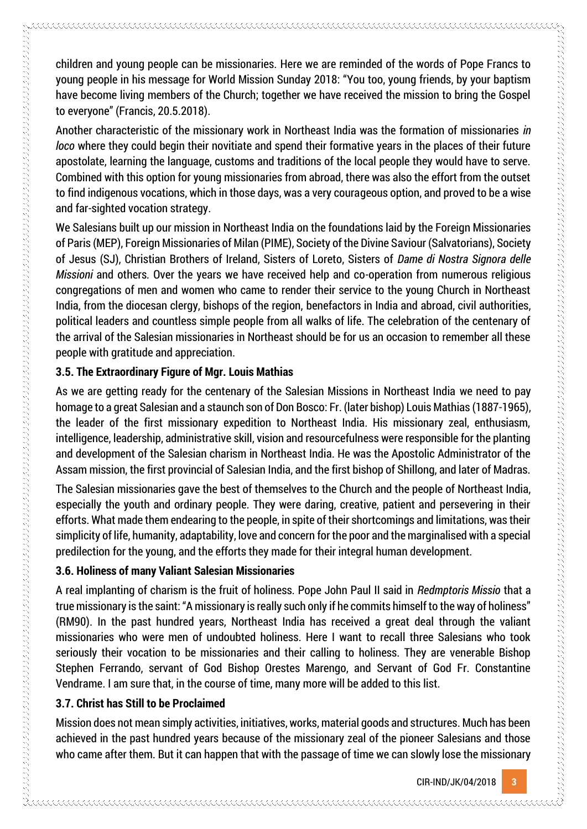children and young people can be missionaries. Here we are reminded of the words of Pope Francs to young people in his message for World Mission Sunday 2018: "You too, young friends, by your baptism have become living members of the Church; together we have received the mission to bring the Gospel to everyone" (Francis, 20.5.2018).

Another characteristic of the missionary work in Northeast India was the formation of missionaries *in loco* where they could begin their novitiate and spend their formative years in the places of their future apostolate, learning the language, customs and traditions of the local people they would have to serve. Combined with this option for young missionaries from abroad, there was also the effort from the outset to find indigenous vocations, which in those days, was a very courageous option, and proved to be a wise and far-sighted vocation strategy.

We Salesians built up our mission in Northeast India on the foundations laid by the Foreign Missionaries of Paris (MEP), Foreign Missionaries of Milan (PIME), Society of the Divine Saviour (Salvatorians), Society of Jesus (SJ), Christian Brothers of Ireland, Sisters of Loreto, Sisters of *Dame di Nostra Signora delle Missioni* and others*.* Over the years we have received help and co-operation from numerous religious congregations of men and women who came to render their service to the young Church in Northeast India, from the diocesan clergy, bishops of the region, benefactors in India and abroad, civil authorities, political leaders and countless simple people from all walks of life. The celebration of the centenary of the arrival of the Salesian missionaries in Northeast should be for us an occasion to remember all these people with gratitude and appreciation.

## **3.5. The Extraordinary Figure of Mgr. Louis Mathias**

的复数形式 医阿拉伯氏病 医阿拉伯氏病 医阿拉伯氏病 医阿拉伯氏病 医阿拉伯氏征 医阿拉伯氏征 医阿拉伯氏征 医阿拉伯氏征 医阿拉伯氏征 医阿拉伯氏征 医阿拉伯氏征 医阿拉伯氏征 医阿拉伯氏征 医阿拉伯氏征 医阿拉伯氏征 医阿拉伯氏征 医阿拉伯氏征 医阿拉伯氏征 医阿拉伯氏征 医阿拉伯氏征 医阿拉伯氏征 医阿拉伯氏征 医阿拉伯氏征 医阿拉伯氏征 医阿拉伯氏征 医阿拉伯氏征

As we are getting ready for the centenary of the Salesian Missions in Northeast India we need to pay homage to a great Salesian and a staunch son of Don Bosco: Fr. (later bishop) Louis Mathias (1887-1965), the leader of the first missionary expedition to Northeast India. His missionary zeal, enthusiasm, intelligence, leadership, administrative skill, vision and resourcefulness were responsible for the planting and development of the Salesian charism in Northeast India. He was the Apostolic Administrator of the Assam mission, the first provincial of Salesian India, and the first bishop of Shillong, and later of Madras.

The Salesian missionaries gave the best of themselves to the Church and the people of Northeast India, especially the youth and ordinary people. They were daring, creative, patient and persevering in their efforts. What made them endearing to the people, in spite of their shortcomings and limitations, was their simplicity of life, humanity, adaptability, love and concern for the poor and the marginalised with a special predilection for the young, and the efforts they made for their integral human development.

## **3.6. Holiness of many Valiant Salesian Missionaries**

A real implanting of charism is the fruit of holiness. Pope John Paul II said in *Redmptoris Missio* that a true missionary is the saint: "A missionary is really such only if he commits himself to the way of holiness" (RM90). In the past hundred years, Northeast India has received a great deal through the valiant missionaries who were men of undoubted holiness. Here I want to recall three Salesians who took seriously their vocation to be missionaries and their calling to holiness. They are venerable Bishop Stephen Ferrando, servant of God Bishop Orestes Marengo, and Servant of God Fr. Constantine Vendrame. I am sure that, in the course of time, many more will be added to this list.

## **3.7. Christ has Still to be Proclaimed**

Mission does not mean simply activities, initiatives, works, material goods and structures. Much has been achieved in the past hundred years because of the missionary zeal of the pioneer Salesians and those who came after them. But it can happen that with the passage of time we can slowly lose the missionary

CIR-IND/JK/04/2018 **3**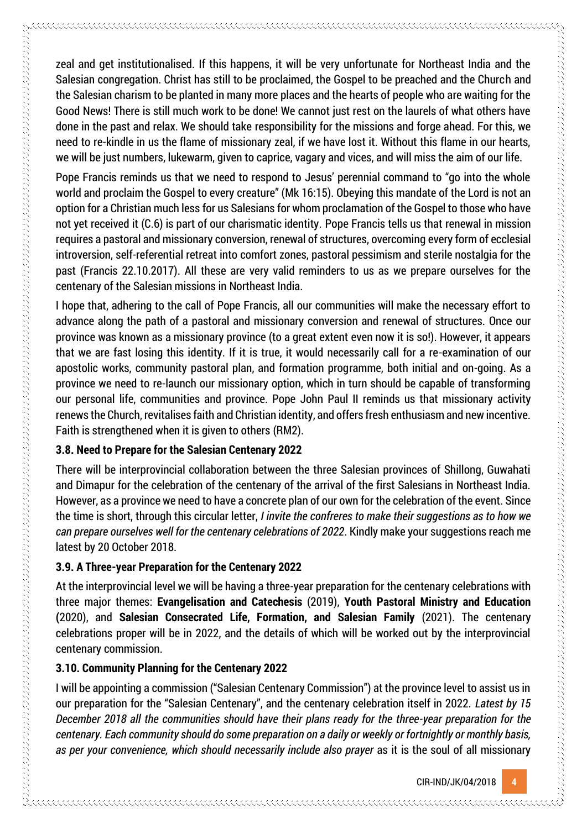zeal and get institutionalised. If this happens, it will be very unfortunate for Northeast India and the Salesian congregation. Christ has still to be proclaimed, the Gospel to be preached and the Church and the Salesian charism to be planted in many more places and the hearts of people who are waiting for the Good News! There is still much work to be done! We cannot just rest on the laurels of what others have done in the past and relax. We should take responsibility for the missions and forge ahead. For this, we need to re-kindle in us the flame of missionary zeal, if we have lost it. Without this flame in our hearts, we will be just numbers, lukewarm, given to caprice, vagary and vices, and will miss the aim of our life.

Pope Francis reminds us that we need to respond to Jesus' perennial command to "go into the whole world and proclaim the Gospel to every creature" (Mk 16:15). Obeying this mandate of the Lord is not an option for a Christian much less for us Salesians for whom proclamation of the Gospel to those who have not yet received it (C.6) is part of our charismatic identity. Pope Francis tells us that renewal in mission requires a pastoral and missionary conversion, renewal of structures, overcoming every form of ecclesial introversion, self-referential retreat into comfort zones, pastoral pessimism and sterile nostalgia for the past (Francis 22.10.2017). All these are very valid reminders to us as we prepare ourselves for the centenary of the Salesian missions in Northeast India.

I hope that, adhering to the call of Pope Francis, all our communities will make the necessary effort to advance along the path of a pastoral and missionary conversion and renewal of structures. Once our province was known as a missionary province (to a great extent even now it is so!). However, it appears that we are fast losing this identity. If it is true, it would necessarily call for a re-examination of our apostolic works, community pastoral plan, and formation programme, both initial and on-going. As a province we need to re-launch our missionary option, which in turn should be capable of transforming our personal life, communities and province. Pope John Paul II reminds us that missionary activity renews the Church, revitalises faith and Christian identity, and offers fresh enthusiasm and new incentive. Faith is strengthened when it is given to others (RM2).

## **3.8. Need to Prepare for the Salesian Centenary 2022**

There will be interprovincial collaboration between the three Salesian provinces of Shillong, Guwahati and Dimapur for the celebration of the centenary of the arrival of the first Salesians in Northeast India. However, as a province we need to have a concrete plan of our own for the celebration of the event. Since the time is short, through this circular letter, *I invite the confreres to make their suggestions as to how we can prepare ourselves well for the centenary celebrations of 2022*. Kindly make your suggestions reach me latest by 20 October 2018.

## **3.9. A Three-year Preparation for the Centenary 2022**

At the interprovincial level we will be having a three-year preparation for the centenary celebrations with three major themes: **Evangelisation and Catechesis** (2019), **Youth Pastoral Ministry and Education (**2020), and **Salesian Consecrated Life, Formation, and Salesian Family** (2021). The centenary celebrations proper will be in 2022, and the details of which will be worked out by the interprovincial centenary commission.

## **3.10. Community Planning for the Centenary 2022**

I will be appointing a commission ("Salesian Centenary Commission") at the province level to assist us in our preparation for the "Salesian Centenary", and the centenary celebration itself in 2022. *Latest by 15 December 2018 all the communities should have their plans ready for the three-year preparation for the centenary. Each community should do some preparation on a daily or weekly or fortnightly or monthly basis, as per your convenience, which should necessarily include also prayer* as it is the soul of all missionary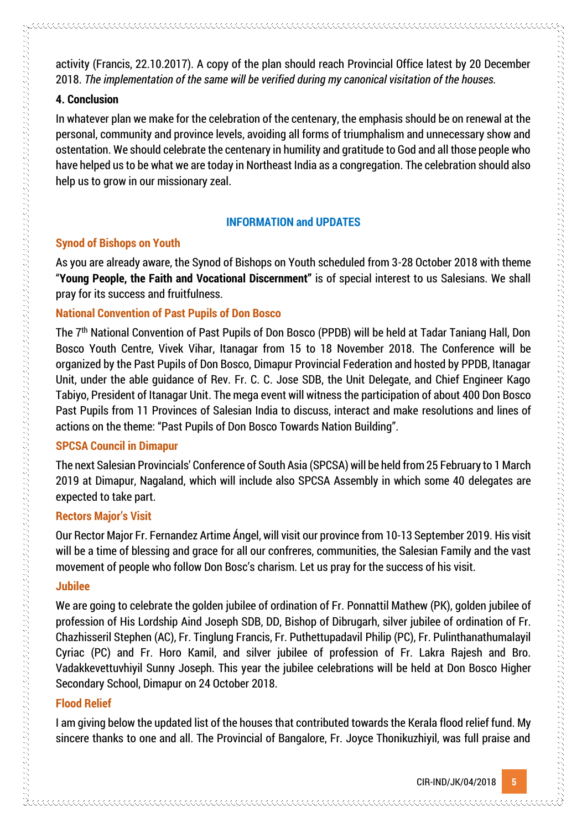activity (Francis, 22.10.2017). A copy of the plan should reach Provincial Office latest by 20 December 2018. *The implementation of the same will be verified during my canonical visitation of the houses.*

#### **4. Conclusion**

In whatever plan we make for the celebration of the centenary, the emphasis should be on renewal at the personal, community and province levels, avoiding all forms of triumphalism and unnecessary show and ostentation. We should celebrate the centenary in humility and gratitude to God and all those people who have helped us to be what we are today in Northeast India as a congregation. The celebration should also help us to grow in our missionary zeal.

### **INFORMATION and UPDATES**

## **Synod of Bishops on Youth**

As you are already aware, the Synod of Bishops on Youth scheduled from 3-28 October 2018 with theme "**Young People, the Faith and Vocational Discernment"** is of special interest to us Salesians. We shall pray for its success and fruitfulness.

#### **National Convention of Past Pupils of Don Bosco**

The 7th National Convention of Past Pupils of Don Bosco (PPDB) will be held at Tadar Taniang Hall, Don Bosco Youth Centre, Vivek Vihar, Itanagar from 15 to 18 November 2018. The Conference will be organized by the Past Pupils of Don Bosco, Dimapur Provincial Federation and hosted by PPDB, Itanagar Unit, under the able guidance of Rev. Fr. C. C. Jose SDB, the Unit Delegate, and Chief Engineer Kago Tabiyo, President of Itanagar Unit. The mega event will witness the participation of about 400 Don Bosco Past Pupils from 11 Provinces of Salesian India to discuss, interact and make resolutions and lines of actions on the theme: "Past Pupils of Don Bosco Towards Nation Building".

## **SPCSA Council in Dimapur**

The next Salesian Provincials' Conference of South Asia (SPCSA) will be held from 25 February to 1 March 2019 at Dimapur, Nagaland, which will include also SPCSA Assembly in which some 40 delegates are expected to take part.

## **Rectors Major's Visit**

Our Rector Major Fr. Fernandez Artime Ángel, will visit our province from 10-13 September 2019. His visit will be a time of blessing and grace for all our confreres, communities, the Salesian Family and the vast movement of people who follow Don Bosc's charism. Let us pray for the success of his visit.

## **Jubilee**

We are going to celebrate the golden jubilee of ordination of Fr. Ponnattil Mathew (PK), golden jubilee of profession of His Lordship Aind Joseph SDB, DD, Bishop of Dibrugarh, silver jubilee of ordination of Fr. Chazhisseril Stephen (AC), Fr. Tinglung Francis, Fr. Puthettupadavil Philip (PC), Fr. Pulinthanathumalayil Cyriac (PC) and Fr. Horo Kamil, and silver jubilee of profession of Fr. Lakra Rajesh and Bro. Vadakkevettuvhiyil Sunny Joseph. This year the jubilee celebrations will be held at Don Bosco Higher Secondary School, Dimapur on 24 October 2018.

## **Flood Relief**

I am giving below the updated list of the houses that contributed towards the Kerala flood relief fund. My sincere thanks to one and all. The Provincial of Bangalore, Fr. Joyce Thonikuzhiyil, was full praise and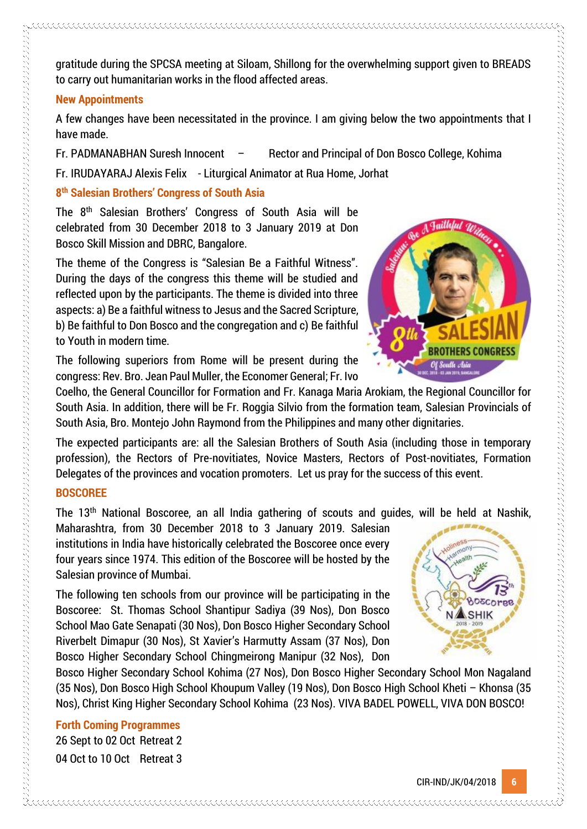CIR-IND/JK/04/2018 **6**



gratitude during the SPCSA meeting at Siloam, Shillong for the overwhelming support given to BREADS to carry out humanitarian works in the flood affected areas.

#### **New Appointments**

A few changes have been necessitated in the province. I am giving below the two appointments that I have made.

Fr. PADMANABHAN Suresh Innocent – Rector and Principal of Don Bosco College, Kohima

Fr. IRUDAYARAJ Alexis Felix - Liturgical Animator at Rua Home, Jorhat

## **8 th Salesian Brothers' Congress of South Asia**

The 8th Salesian Brothers' Congress of South Asia will be celebrated from 30 December 2018 to 3 January 2019 at Don Bosco Skill Mission and DBRC, Bangalore.

The theme of the Congress is "Salesian Be a Faithful Witness". During the days of the congress this theme will be studied and reflected upon by the participants. The theme is divided into three aspects: a) Be a faithful witness to Jesus and the Sacred Scripture, b) Be faithful to Don Bosco and the congregation and c) Be faithful to Youth in modern time.

The following superiors from Rome will be present during the congress: Rev. Bro. Jean Paul Muller, the Economer General; Fr. Ivo

Coelho, the General Councillor for Formation and Fr. Kanaga Maria Arokiam, the Regional Councillor for South Asia. In addition, there will be Fr. Roggia Silvio from the formation team, Salesian Provincials of South Asia, Bro. Montejo John Raymond from the Philippines and many other dignitaries.

The expected participants are: all the Salesian Brothers of South Asia (including those in temporary profession), the Rectors of Pre-novitiates, Novice Masters, Rectors of Post-novitiates, Formation Delegates of the provinces and vocation promoters. Let us pray for the success of this event.

## **BOSCOREE**

的复数形式 医无线性的 医无线性性 医无线性性 医无线性的 医无线性的 医无线性的 医无线性的 医无线性的 医无线性的 医无线性的 医无线性的 医无线性的 医无线性的 医无线性的 医阿拉伯氏征 医阿拉伯氏征 医阿拉伯氏征 医阿拉伯氏征 医阿拉伯氏征 医阿拉伯氏征 医阿拉伯氏征 医阿拉伯氏征 医阿拉伯氏征 医阿拉伯氏征 医阿拉伯氏征 医阿拉伯氏征 医阿拉伯氏征 医阿拉伯氏征 医阿拉伯氏征 医阿拉伯氏征 医阿拉伯氏征 医血管性 医血管性 医无

The 13th National Boscoree, an all India gathering of scouts and guides, will be held at Nashik,

Maharashtra, from 30 December 2018 to 3 January 2019. Salesian institutions in India have historically celebrated the Boscoree once every four years since 1974. This edition of the Boscoree will be hosted by the Salesian province of Mumbai.

The following ten schools from our province will be participating in the Boscoree: St. Thomas School Shantipur Sadiya (39 Nos), Don Bosco School Mao Gate Senapati (30 Nos), Don Bosco Higher Secondary School Riverbelt Dimapur (30 Nos), St Xavier's Harmutty Assam (37 Nos), Don Bosco Higher Secondary School Chingmeirong Manipur (32 Nos), Don

Bosco Higher Secondary School Kohima (27 Nos), Don Bosco Higher Secondary School Mon Nagaland (35 Nos), Don Bosco High School Khoupum Valley (19 Nos), Don Bosco High School Kheti – Khonsa (35 Nos), Christ King Higher Secondary School Kohima (23 Nos). VIVA BADEL POWELL, VIVA DON BOSCO!

**Forth Coming Programmes** 26 Sept to 02 Oct Retreat 2 04 Oct to 10 Oct Retreat 3

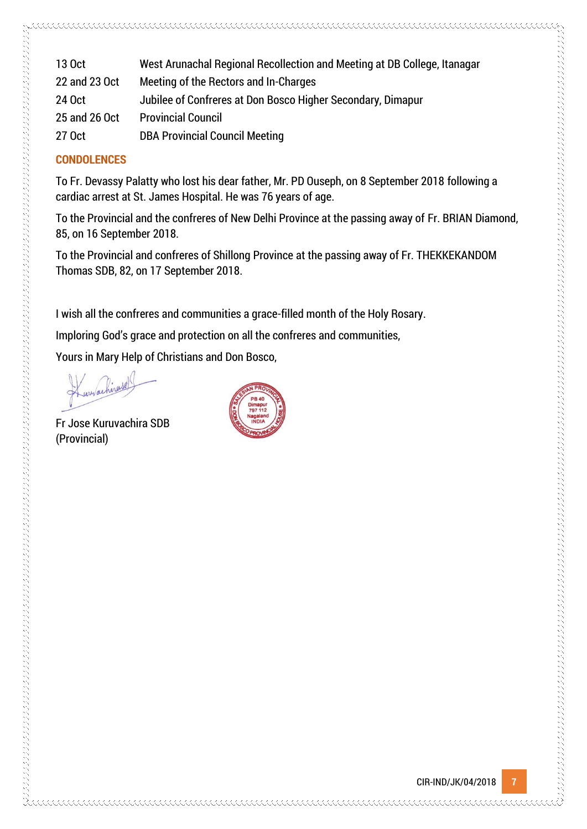| 13 Oct        | West Arunachal Regional Recollection and Meeting at DB College, Itanagar |
|---------------|--------------------------------------------------------------------------|
| 22 and 23 Oct | Meeting of the Rectors and In-Charges                                    |
| 24 Oct        | Jubilee of Confreres at Don Bosco Higher Secondary, Dimapur              |
| 25 and 26 Oct | <b>Provincial Council</b>                                                |
| 27 Oct        | <b>DBA Provincial Council Meeting</b>                                    |
|               |                                                                          |

#### **CONDOLENCES**

To Fr. Devassy Palatty who lost his dear father, Mr. PD Ouseph, on 8 September 2018 following a cardiac arrest at St. James Hospital. He was 76 years of age.

To the Provincial and the confreres of New Delhi Province at the passing away of Fr. BRIAN Diamond, 85, on 16 September 2018.

To the Provincial and confreres of Shillong Province at the passing away of Fr. THEKKEKANDOM Thomas SDB, 82, on 17 September 2018.

I wish all the confreres and communities a grace-filled month of the Holy Rosary.

Imploring God's grace and protection on all the confreres and communities,

Yours in Mary Help of Christians and Don Bosco,

Fr Jose Kuruvachira SDB (Provincial)